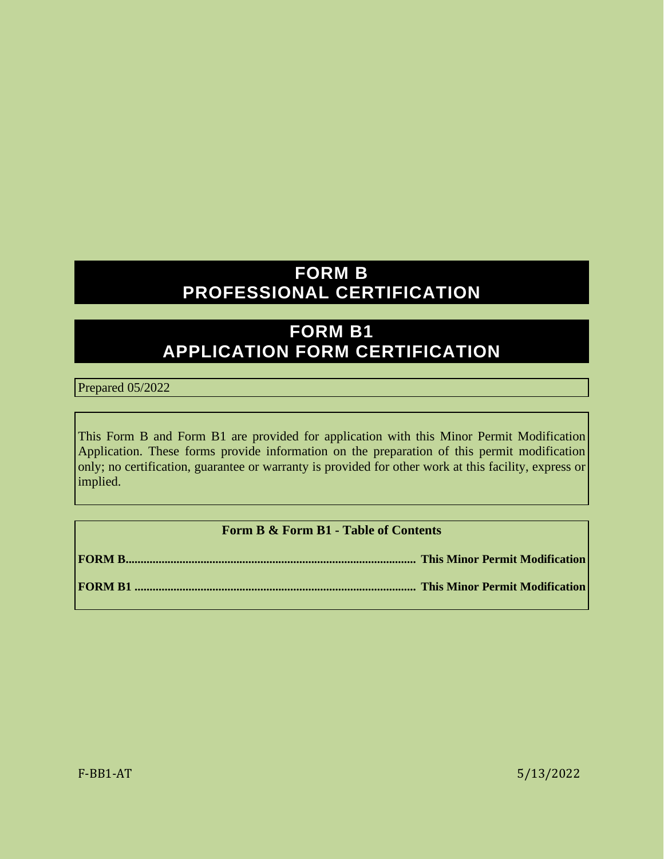## **FORM B PROFESSIONAL CERTIFICATION**

# **FORM B1 APPLICATION FORM CERTIFICATION**

Prepared 05/2022

This Form B and Form B1 are provided for application with this Minor Permit Modification Application. These forms provide information on the preparation of this permit modification only; no certification, guarantee or warranty is provided for other work at this facility, express or implied.

### **Form B & Form B1 - Table of Contents**

**FORM B ................................................................................................. This Minor Permit Modification FORM B1 .............................................................................................. This Minor Permit Modification**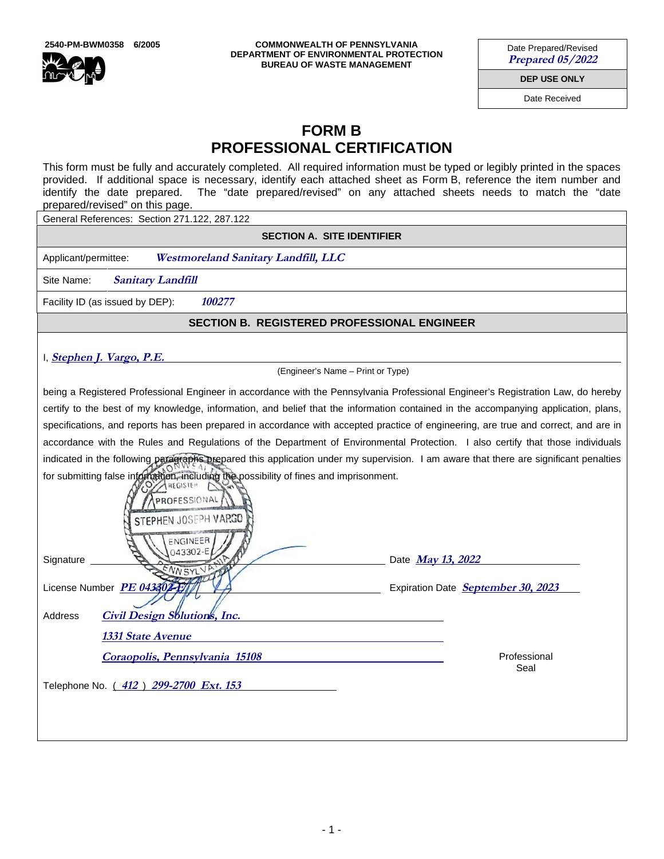

**2540-PM-BWM0358 6/2005 COMMONWEALTH OF PENNSYLVANIA DEPARTMENT OF ENVIRONMENTAL PROTECTION BUREAU OF WASTE MANAGEMENT**

Date Prepared/Revised **Prepared 05/2022** 

**DEP USE ONLY**

Date Received

## **FORM B PROFESSIONAL CERTIFICATION**

This form must be fully and accurately completed. All required information must be typed or legibly printed in the spaces provided. If additional space is necessary, identify each attached sheet as Form B, reference the item number and identify the date prepared. The "date prepared/revised" on any attached sheets needs to match the "date prepared/revised" on this page.

General References: Section 271.122, 287.122

**SECTION A. SITE IDENTIFIER** 

Applicant/permittee: **Westmoreland Sanitary Landfill, LLC** 

Site Name: Sanitary Landfill

Facility ID (as issued by DEP): **100277** 

#### **SECTION B. REGISTERED PROFESSIONAL ENGINEER**

#### I, **Stephen J. Vargo, P.E.**

(Engineer's Name – Print or Type)

being a Registered Professional Engineer in accordance with the Pennsylvania Professional Engineer's Registration Law, do hereby certify to the best of my knowledge, information, and belief that the information contained in the accompanying application, plans, specifications, and reports has been prepared in accordance with accepted practice of engineering, are true and correct, and are in accordance with the Rules and Regulations of the Department of Environmental Protection. I also certify that those individuals indicated in the following paragraphs prepared this application under my supervision. I am aware that there are significant penalties for submitting false information, including the possibility of fines and imprisonment.

| <b>OCCORREGISTER</b><br>APROFESSIONAL                                                                                                |  |
|--------------------------------------------------------------------------------------------------------------------------------------|--|
| STEPHEN JOSEPH VARGO                                                                                                                 |  |
| ENGINEER<br>043302-E                                                                                                                 |  |
|                                                                                                                                      |  |
|                                                                                                                                      |  |
| <b>1331 State Avenue</b>                                                                                                             |  |
| Professional<br>Coraopolis, Pennsylvania 15108                                                                                       |  |
| Telephone No. (412) 299-2700 Ext. 153                                                                                                |  |
|                                                                                                                                      |  |
| Date May 13, 2022<br>License Number PE 043302-E<br>Expiration Date September 30, 2023<br><b>Civil Design Solutions, Inc.</b><br>Seal |  |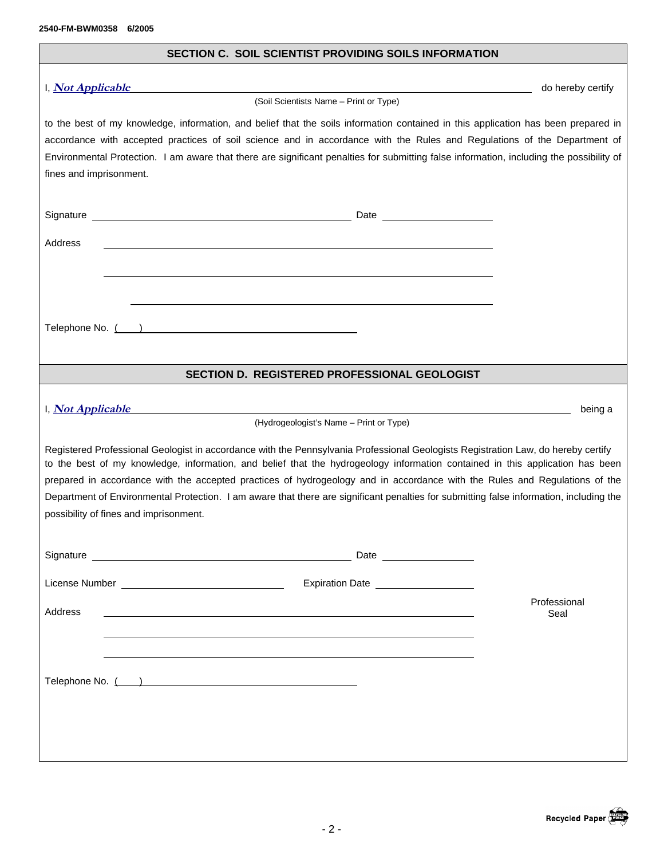| SECTION C. SOIL SCIENTIST PROVIDING SOILS INFORMATION                                                                                                                                                                                                                                                                                                                                                                                                                                                                                                                                 |                      |  |  |
|---------------------------------------------------------------------------------------------------------------------------------------------------------------------------------------------------------------------------------------------------------------------------------------------------------------------------------------------------------------------------------------------------------------------------------------------------------------------------------------------------------------------------------------------------------------------------------------|----------------------|--|--|
| I, <i>Not Applicable</i><br>(Soil Scientists Name - Print or Type)                                                                                                                                                                                                                                                                                                                                                                                                                                                                                                                    | do hereby certify    |  |  |
| to the best of my knowledge, information, and belief that the soils information contained in this application has been prepared in<br>accordance with accepted practices of soil science and in accordance with the Rules and Regulations of the Department of<br>Environmental Protection. I am aware that there are significant penalties for submitting false information, including the possibility of<br>fines and imprisonment.                                                                                                                                                 |                      |  |  |
|                                                                                                                                                                                                                                                                                                                                                                                                                                                                                                                                                                                       |                      |  |  |
| Address                                                                                                                                                                                                                                                                                                                                                                                                                                                                                                                                                                               |                      |  |  |
|                                                                                                                                                                                                                                                                                                                                                                                                                                                                                                                                                                                       |                      |  |  |
|                                                                                                                                                                                                                                                                                                                                                                                                                                                                                                                                                                                       |                      |  |  |
| Telephone No. ( )                                                                                                                                                                                                                                                                                                                                                                                                                                                                                                                                                                     |                      |  |  |
| SECTION D. REGISTERED PROFESSIONAL GEOLOGIST                                                                                                                                                                                                                                                                                                                                                                                                                                                                                                                                          |                      |  |  |
|                                                                                                                                                                                                                                                                                                                                                                                                                                                                                                                                                                                       |                      |  |  |
| I, Not Applicable<br><u> 1989 - Andrea Santa Andrea Andrea Andrea Andrea Andrea Andrea Andrea Andrea Andrea Andrea Andrea Andrea Andr</u><br>(Hydrogeologist's Name - Print or Type)                                                                                                                                                                                                                                                                                                                                                                                                  | being a              |  |  |
| Registered Professional Geologist in accordance with the Pennsylvania Professional Geologists Registration Law, do hereby certify<br>to the best of my knowledge, information, and belief that the hydrogeology information contained in this application has been<br>prepared in accordance with the accepted practices of hydrogeology and in accordance with the Rules and Regulations of the<br>Department of Environmental Protection. I am aware that there are significant penalties for submitting false information, including the<br>possibility of fines and imprisonment. |                      |  |  |
|                                                                                                                                                                                                                                                                                                                                                                                                                                                                                                                                                                                       |                      |  |  |
|                                                                                                                                                                                                                                                                                                                                                                                                                                                                                                                                                                                       |                      |  |  |
| Address                                                                                                                                                                                                                                                                                                                                                                                                                                                                                                                                                                               | Professional<br>Seal |  |  |
|                                                                                                                                                                                                                                                                                                                                                                                                                                                                                                                                                                                       |                      |  |  |
| Telephone No. ( ) and the contract of the contract of the contract of the contract of the contract of the contract of the contract of the contract of the contract of the contract of the contract of the contract of the cont                                                                                                                                                                                                                                                                                                                                                        |                      |  |  |
|                                                                                                                                                                                                                                                                                                                                                                                                                                                                                                                                                                                       |                      |  |  |
|                                                                                                                                                                                                                                                                                                                                                                                                                                                                                                                                                                                       |                      |  |  |
|                                                                                                                                                                                                                                                                                                                                                                                                                                                                                                                                                                                       |                      |  |  |